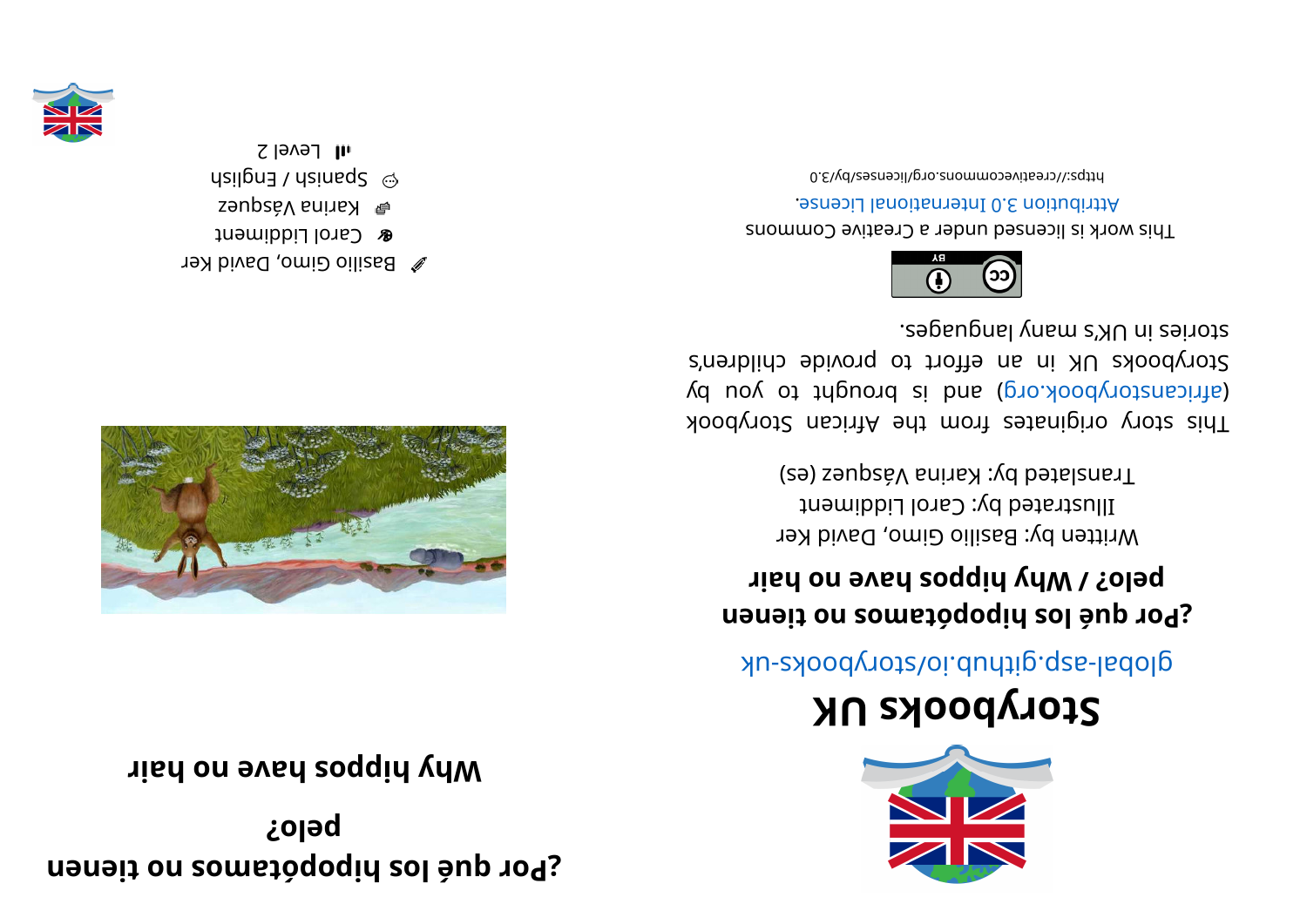**hereoff loably constance on the user network** *n n n n n n n n n n n n n n n n n n n n n n n n n n n n* **?ol ep**

**right** brief **on**  $\boldsymbol{\theta}$  and  $\boldsymbol{\theta}$  and  $\boldsymbol{\theta}$  and  $\boldsymbol{\theta}$ 





## **KUskoobyr otS**

global-aspookhotal approach and above -uk

## **heta loably and <b>propies operably c opera** *n ourse <b>o <i>ourse <b>o ourse <b>o <i>ourse <b>o ourse <b>o <i>ourse <b>o ourse <b>o <i>ourse <b>o <i>ourse <b>o ourse <b>o <i>ourse <b>o o <i>ours* **h b d z e b e p b e p e p e p e p e p e p e p e p e p e p e p e p e p e p e p e p e p e p e p e p e p e p e p e**

Written by: Basilio Gimo, David Ker Illustrated by: Carol Liddiment Translated by: Karina Vásquez (es)

kood yoof a siginaar ah uri setenigiyo yoot sidT (d uoy ot tripuor al bna is bnach or by day of an international space of an international space in  $\alpha$ Storybooks UK in an effort to provide children's segaugnal ynam languages.



This work is licensed under a Creative Commons . esnecial lanoit anternational License.

bttps://creativecommons.org/licenses/by/3.0

- $\gg$  Basilio Gimo, David Ker
- **&** Carol Liddiment
- $\epsilon$ arina Vásques
- $\mu$ sil gn $\Xi$  / hsingeds  $\omega$  $I$ l Level 2

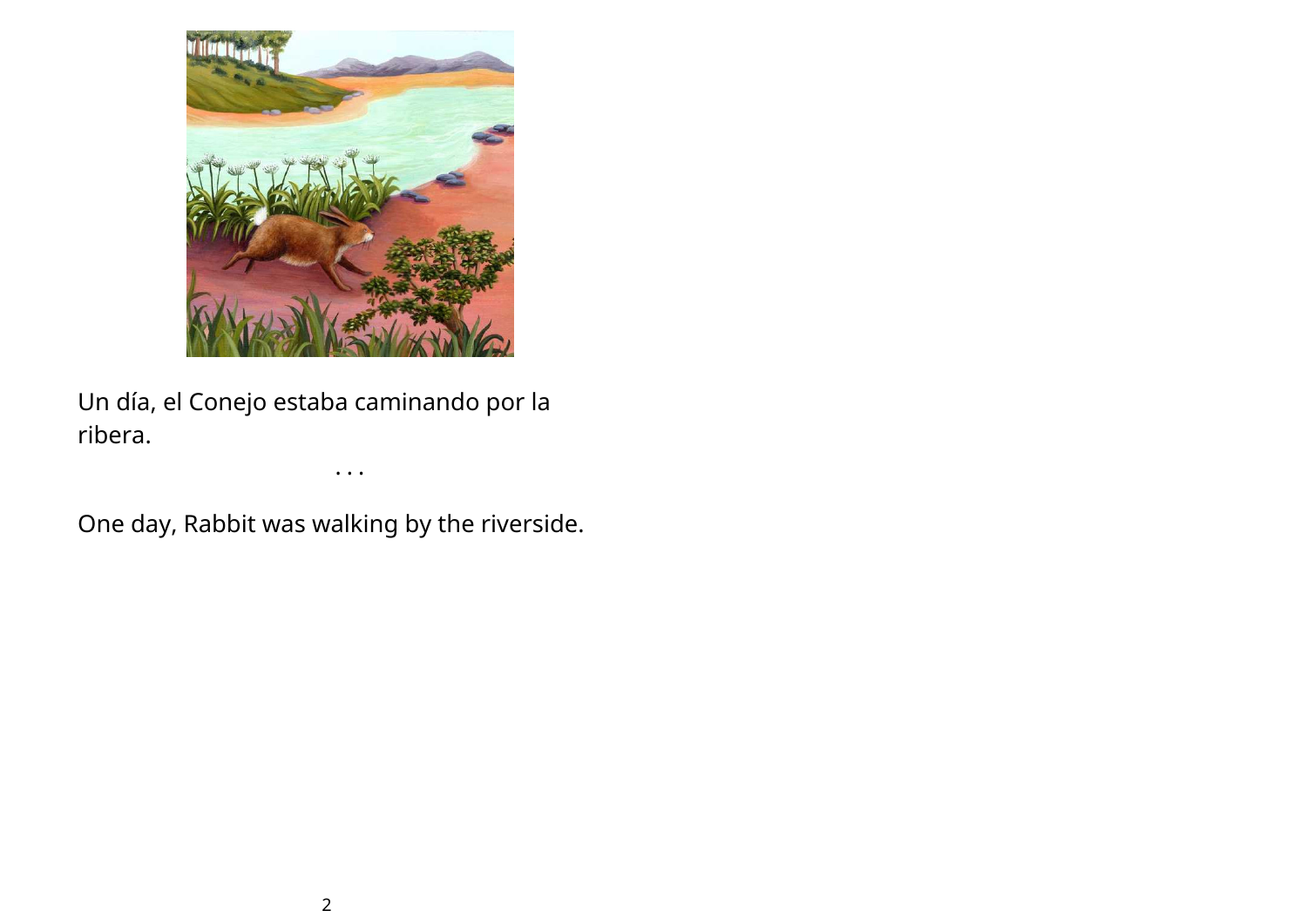

Un día, el Conejo estaba caminando por la ribera.

One day, Rabbit was walking by the riverside.

• • •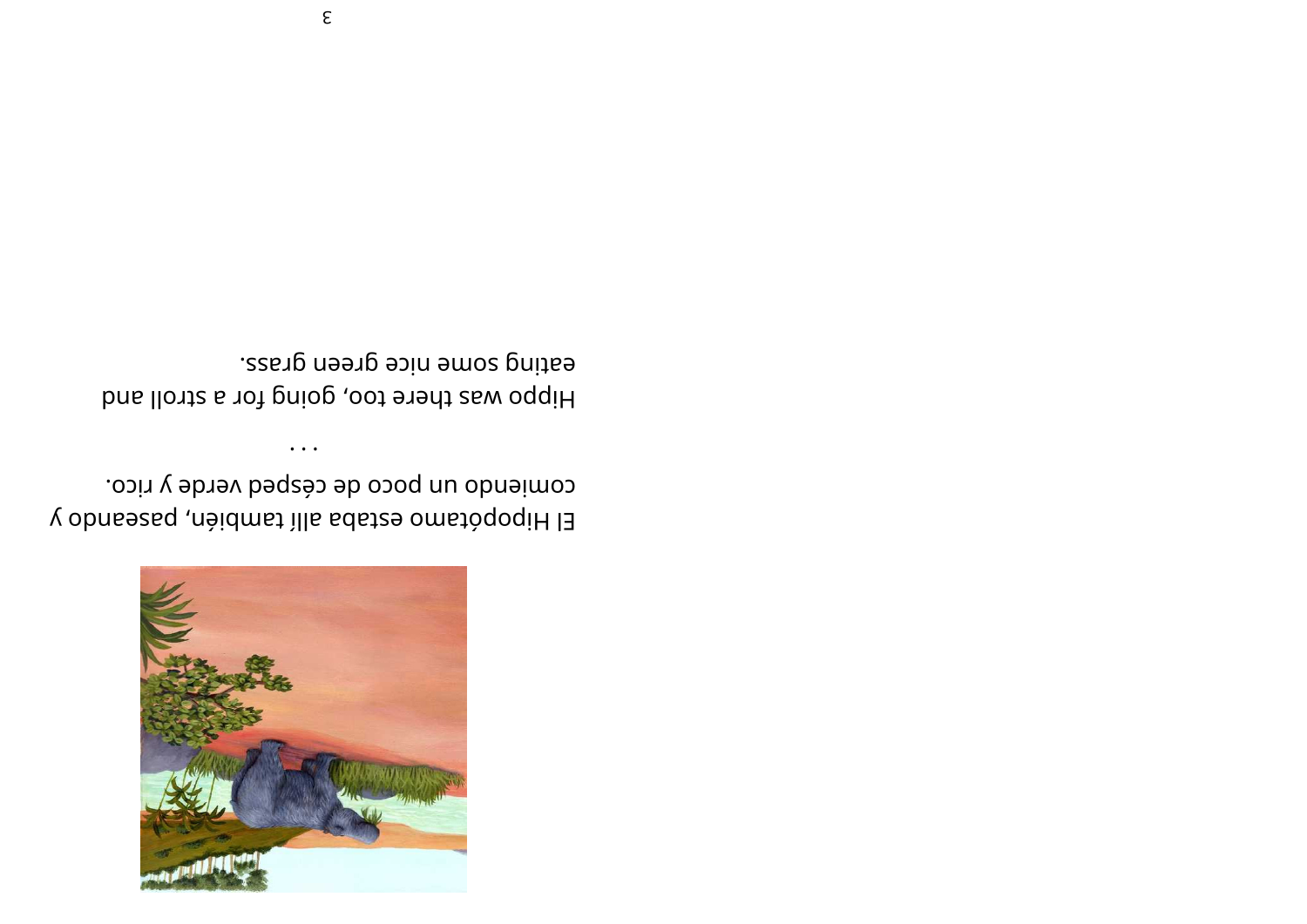

comiendo un poco de césped verde y rico. El Hipopótamo estaba allí también, paseando y

 $\ddotsc$ 

eating some nice green grass. Hippo was there too, going for a stroll and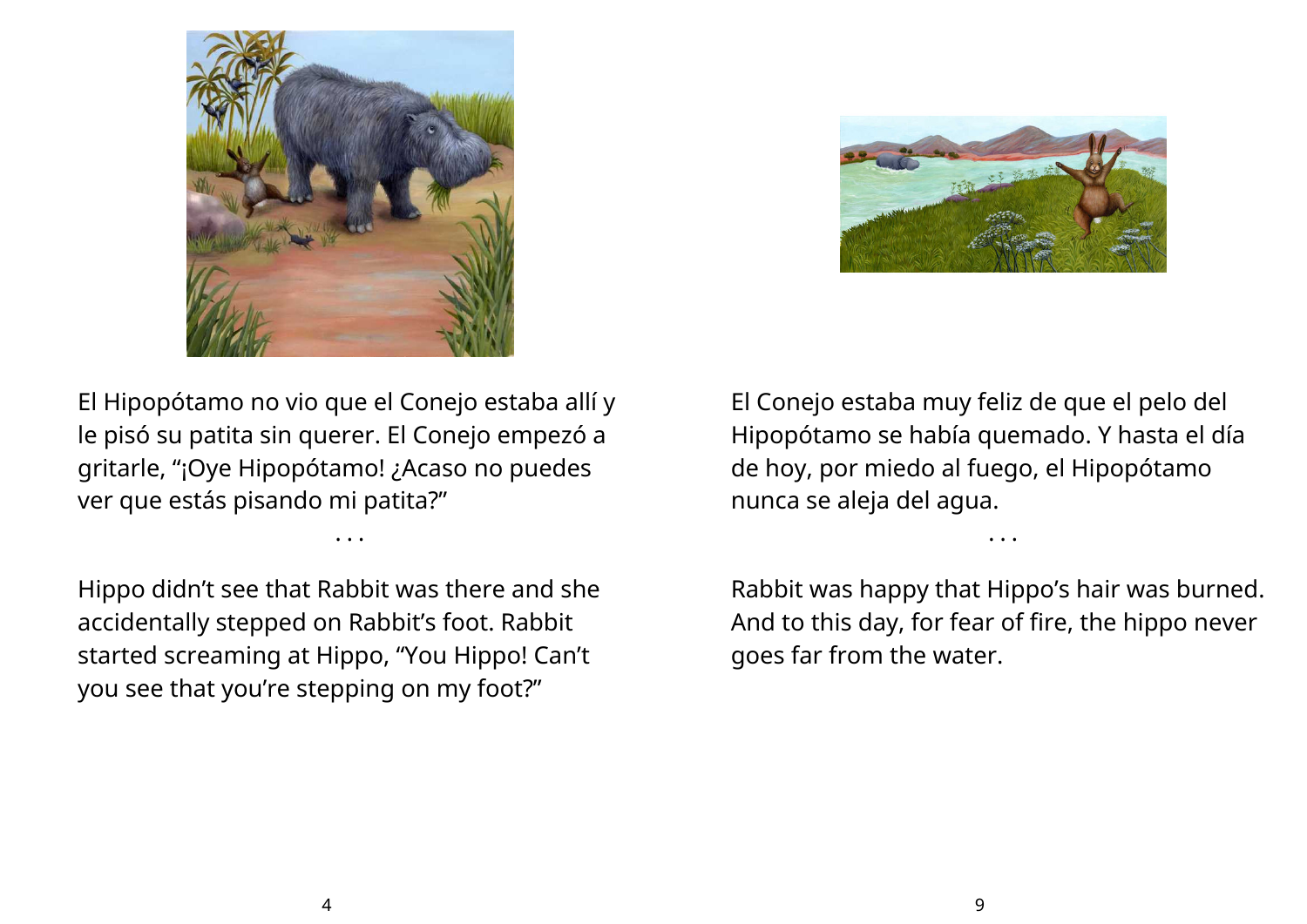



El Hipopótamo no vio que el Conejo estaba allí y le pisó su patita sin querer. El Conejo empezó a gritarle, "¡Oye Hipopótamo! ¿Acaso no puedes ver que estás pisando mi patita?"

• • •

Hippo didn't see that Rabbit was there and she accidentally stepped on Rabbit's foot. Rabbit started screaming at Hippo, "You Hippo! Can't you see that you're stepping on my foot?"

El Conejo estaba muy feliz de que el pelo del Hipopótamo se había quemado. Y hasta el día de hoy, por miedo al fuego, el Hipopótamo nunca se aleja del agua.

Rabbit was happy that Hippo's hair was burned. And to this day, for fear of fire, the hippo never goes far from the water.

• • •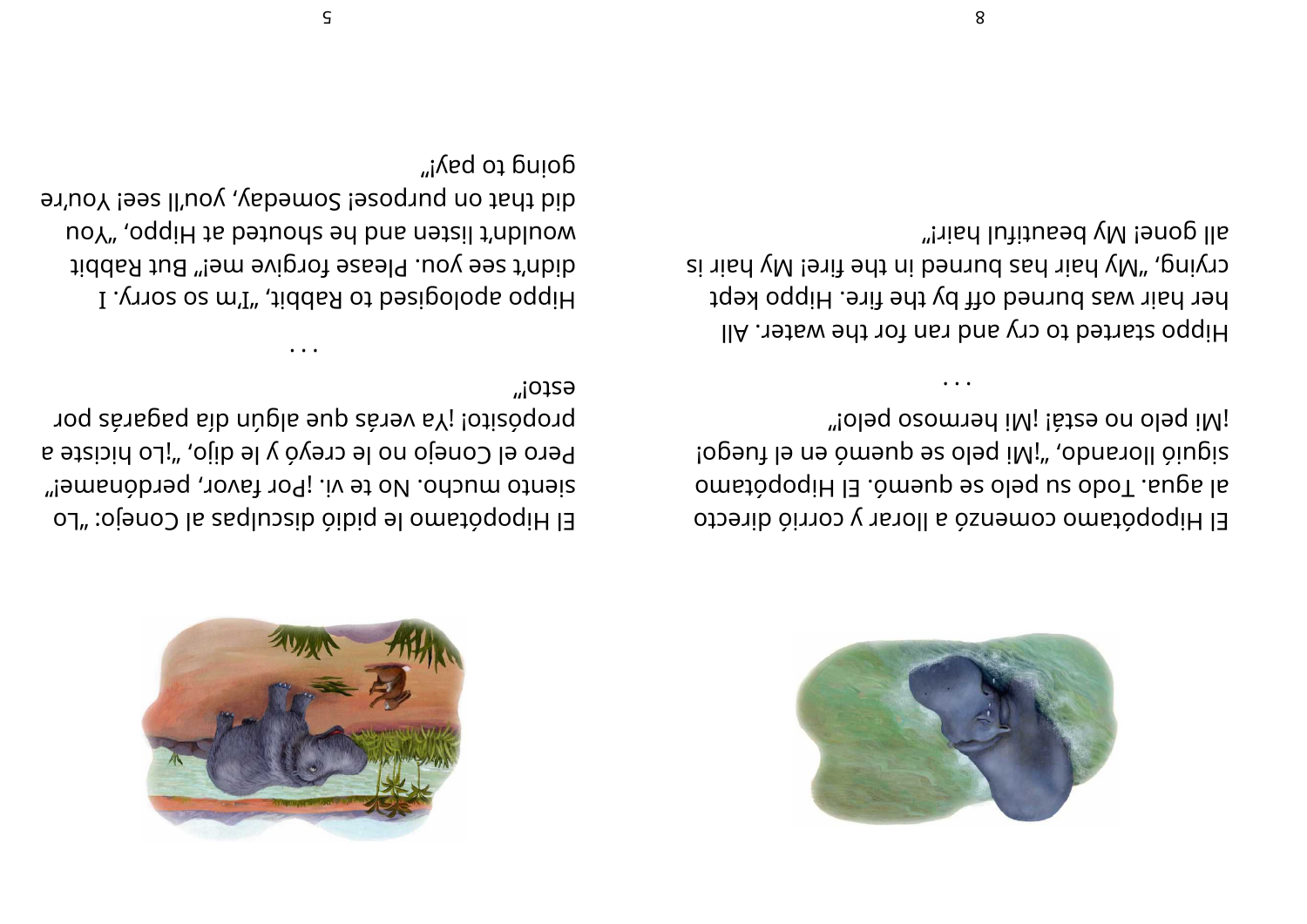



iMi pelo no está! ¡Mi hermoso pelo!" siguió llorand es ded iM; "obas due di fugis" al agua. Todo su pelo se quemo: El Hipopótamo El Hipopótamo comenzó a llorar y corrió directo

all gone! My beautiful hair!" crying, "My hair has burned in the fire! Wy hair is her hair was burned off by the fire. Hippo kept IIA . The wated to cry and ran for the water. All

G2fOj" propósito! ¡Ya verás que algún día pagarás por Pero el Conejo no le creyó y le dijo, "¡Lo hiciste a siento mucho. No te vi. ¡Por favor, perdóname!" El Hipopótamo le pidió disculpas al Conejo: "Lo

doud το buλ<sub>i</sub>, arid that on purpose! Someday, you'll see! You're uoY", oqqiH ta bətuoda əd bas nətzil t'abluow didn't see you. Please forgive me!" But Rabbit I . ynos os m'I" , tiddas ot besipologa oggiH